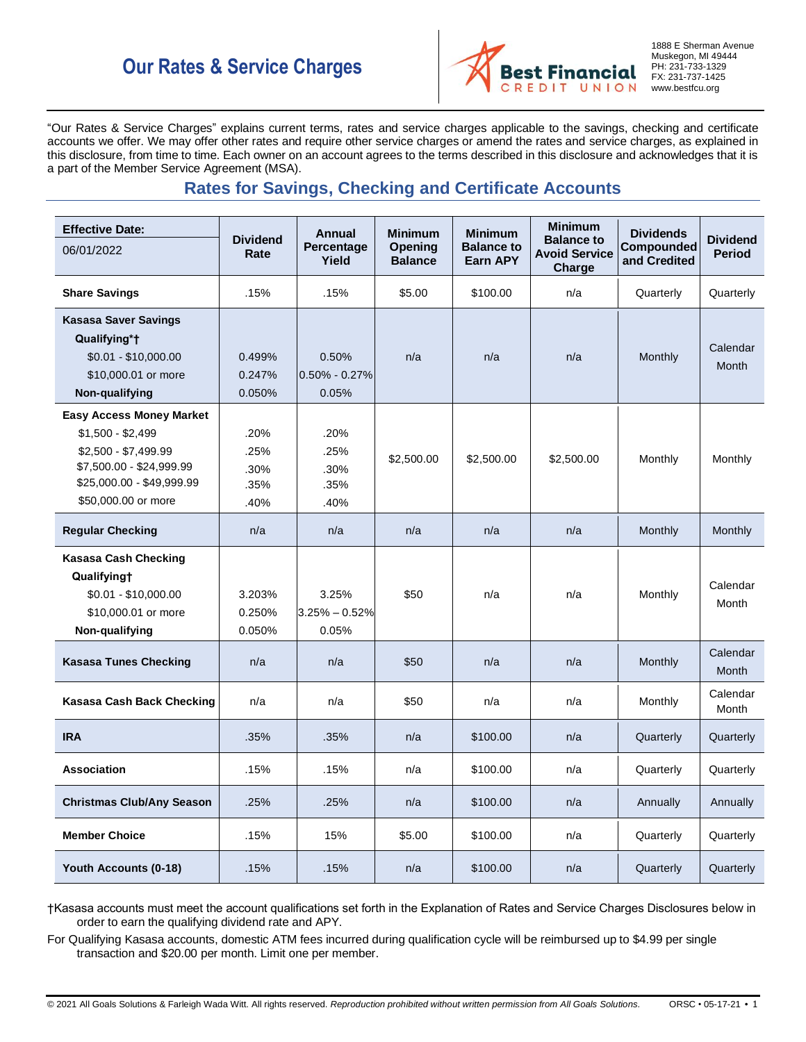# **Our Rates & Service Charges**



1888 E Sherman Avenue Muskegon, MI 49444 PH: 231-733-1329 FX: 231-737-1425 www.bestfcu.org

"Our Rates & Service Charges" explains current terms, rates and service charges applicable to the savings, checking and certificate accounts we offer. We may offer other rates and require other service charges or amend the rates and service charges, as explained in this disclosure, from time to time. Each owner on an account agrees to the terms described in this disclosure and acknowledges that it is a part of the Member Service Agreement (MSA).

# **Rates for Savings, Checking and Certificate Accounts**

| <b>Effective Date:</b><br>06/01/2022                                                                                                                         | <b>Dividend</b><br>Rate              | <b>Annual</b><br>Percentage<br>Yield | <b>Minimum</b><br>Opening<br><b>Balance</b> | <b>Minimum</b><br><b>Balance to</b><br>Earn APY | <b>Minimum</b><br><b>Balance to</b><br><b>Avoid Service</b><br>Charge | <b>Dividends</b><br>Compounded<br>and Credited | <b>Dividend</b><br><b>Period</b> |
|--------------------------------------------------------------------------------------------------------------------------------------------------------------|--------------------------------------|--------------------------------------|---------------------------------------------|-------------------------------------------------|-----------------------------------------------------------------------|------------------------------------------------|----------------------------------|
| <b>Share Savings</b>                                                                                                                                         | .15%                                 | .15%                                 | \$5.00                                      | \$100.00                                        | n/a                                                                   | Quarterly                                      | Quarterly                        |
| <b>Kasasa Saver Savings</b><br>Qualifying*†<br>\$0.01 - \$10,000.00<br>\$10,000.01 or more<br>Non-qualifying                                                 | 0.499%<br>0.247%<br>0.050%           | 0.50%<br>$0.50\% - 0.27\%$<br>0.05%  | n/a                                         | n/a                                             | n/a                                                                   | Monthly                                        | Calendar<br>Month                |
| <b>Easy Access Money Market</b><br>$$1,500 - $2,499$<br>\$2,500 - \$7,499.99<br>\$7,500.00 - \$24,999.99<br>\$25,000.00 - \$49,999.99<br>\$50,000.00 or more | .20%<br>.25%<br>.30%<br>.35%<br>.40% | .20%<br>.25%<br>.30%<br>.35%<br>.40% | \$2,500.00                                  | \$2,500.00                                      | \$2,500.00                                                            | Monthly                                        | Monthly                          |
| <b>Regular Checking</b>                                                                                                                                      | n/a                                  | n/a                                  | n/a                                         | n/a                                             | n/a                                                                   | Monthly                                        | Monthly                          |
| <b>Kasasa Cash Checking</b><br>Qualifyingt<br>\$0.01 - \$10,000.00<br>\$10,000.01 or more<br>Non-qualifying                                                  | 3.203%<br>0.250%<br>0.050%           | 3.25%<br>$3.25\% - 0.52\%$<br>0.05%  | \$50                                        | n/a                                             | n/a                                                                   | Monthly                                        | Calendar<br>Month                |
| <b>Kasasa Tunes Checking</b>                                                                                                                                 | n/a                                  | n/a                                  | \$50                                        | n/a                                             | n/a                                                                   | Monthly                                        | Calendar<br>Month                |
| Kasasa Cash Back Checking                                                                                                                                    | n/a                                  | n/a                                  | \$50                                        | n/a                                             | n/a                                                                   | Monthly                                        | Calendar<br>Month                |
| <b>IRA</b>                                                                                                                                                   | .35%                                 | .35%                                 | n/a                                         | \$100.00                                        | n/a                                                                   | Quarterly                                      | Quarterly                        |
| <b>Association</b>                                                                                                                                           | .15%                                 | .15%                                 | n/a                                         | \$100.00                                        | n/a                                                                   | Quarterly                                      | Quarterly                        |
| <b>Christmas Club/Any Season</b>                                                                                                                             | .25%                                 | .25%                                 | n/a                                         | \$100.00                                        | n/a                                                                   | Annually                                       | Annually                         |
| <b>Member Choice</b>                                                                                                                                         | .15%                                 | 15%                                  | \$5.00                                      | \$100.00                                        | n/a                                                                   | Quarterly                                      | Quarterly                        |
| Youth Accounts (0-18)                                                                                                                                        | .15%                                 | .15%                                 | n/a                                         | \$100.00                                        | n/a                                                                   | Quarterly                                      | Quarterly                        |

†Kasasa accounts must meet the account qualifications set forth in the Explanation of Rates and Service Charges Disclosures below in order to earn the qualifying dividend rate and APY.

For Qualifying Kasasa accounts, domestic ATM fees incurred during qualification cycle will be reimbursed up to \$4.99 per single transaction and \$20.00 per month. Limit one per member.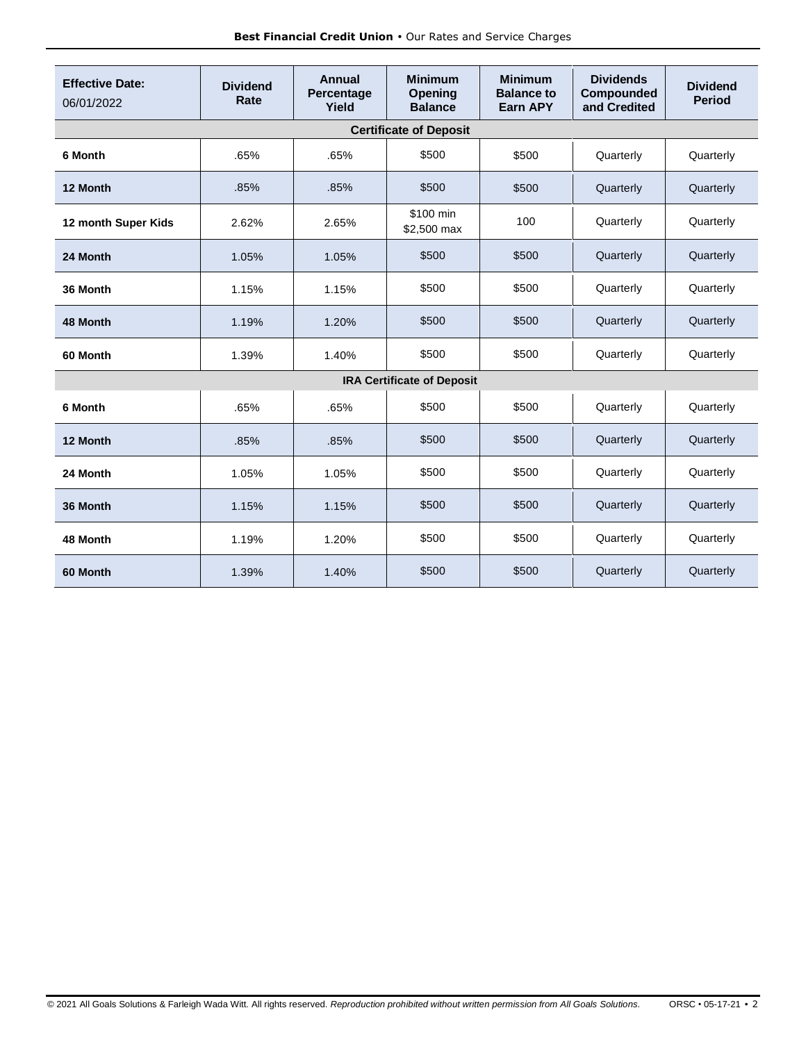| <b>Effective Date:</b><br>06/01/2022 | <b>Dividend</b><br>Rate | Annual<br>Percentage<br>Yield | <b>Minimum</b><br>Opening<br><b>Balance</b> | <b>Minimum</b><br><b>Balance to</b><br>Earn APY | <b>Dividends</b><br>Compounded<br>and Credited | <b>Dividend</b><br><b>Period</b> |
|--------------------------------------|-------------------------|-------------------------------|---------------------------------------------|-------------------------------------------------|------------------------------------------------|----------------------------------|
| <b>Certificate of Deposit</b>        |                         |                               |                                             |                                                 |                                                |                                  |
| 6 Month                              | .65%                    | .65%                          | \$500                                       | \$500                                           | Quarterly                                      | Quarterly                        |
| 12 Month                             | .85%                    | .85%                          | \$500                                       | \$500                                           | Quarterly                                      | Quarterly                        |
| 12 month Super Kids                  | 2.62%                   | 2.65%                         | \$100 min<br>\$2,500 max                    | 100                                             | Quarterly                                      | Quarterly                        |
| 24 Month                             | 1.05%                   | 1.05%                         | \$500                                       | \$500                                           | Quarterly                                      | Quarterly                        |
| 36 Month                             | 1.15%                   | 1.15%                         | \$500                                       | \$500                                           | Quarterly                                      | Quarterly                        |
| 48 Month                             | 1.19%                   | 1.20%                         | \$500                                       | \$500                                           | Quarterly                                      | Quarterly                        |
| 60 Month                             | 1.39%                   | 1.40%                         | \$500                                       | \$500                                           | Quarterly                                      | Quarterly                        |
| <b>IRA Certificate of Deposit</b>    |                         |                               |                                             |                                                 |                                                |                                  |
| 6 Month                              | .65%                    | .65%                          | \$500                                       | \$500                                           | Quarterly                                      | Quarterly                        |
| 12 Month                             | .85%                    | .85%                          | \$500                                       | \$500                                           | Quarterly                                      | Quarterly                        |
| 24 Month                             | 1.05%                   | 1.05%                         | \$500                                       | \$500                                           | Quarterly                                      | Quarterly                        |
| 36 Month                             | 1.15%                   | 1.15%                         | \$500                                       | \$500                                           | Quarterly                                      | Quarterly                        |
| 48 Month                             | 1.19%                   | 1.20%                         | \$500                                       | \$500                                           | Quarterly                                      | Quarterly                        |
| 60 Month                             | 1.39%                   | 1.40%                         | \$500                                       | \$500                                           | Quarterly                                      | Quarterly                        |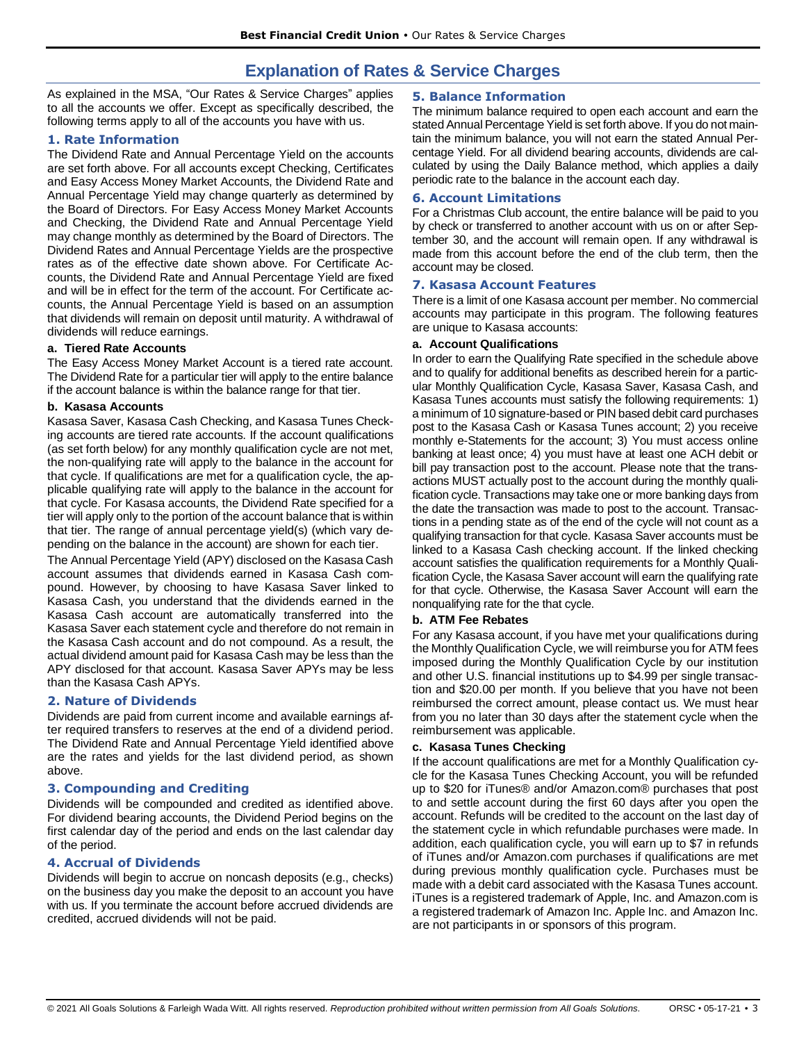# **Explanation of Rates & Service Charges**

As explained in the MSA, "Our Rates & Service Charges" applies to all the accounts we offer. Except as specifically described, the following terms apply to all of the accounts you have with us.

# **1. Rate Information**

The Dividend Rate and Annual Percentage Yield on the accounts are set forth above. For all accounts except Checking, Certificates and Easy Access Money Market Accounts, the Dividend Rate and Annual Percentage Yield may change quarterly as determined by the Board of Directors. For Easy Access Money Market Accounts and Checking, the Dividend Rate and Annual Percentage Yield may change monthly as determined by the Board of Directors. The Dividend Rates and Annual Percentage Yields are the prospective rates as of the effective date shown above. For Certificate Accounts, the Dividend Rate and Annual Percentage Yield are fixed and will be in effect for the term of the account. For Certificate accounts, the Annual Percentage Yield is based on an assumption that dividends will remain on deposit until maturity. A withdrawal of dividends will reduce earnings.

# **a. Tiered Rate Accounts**

The Easy Access Money Market Account is a tiered rate account. The Dividend Rate for a particular tier will apply to the entire balance if the account balance is within the balance range for that tier.

# **b. Kasasa Accounts**

Kasasa Saver, Kasasa Cash Checking, and Kasasa Tunes Checking accounts are tiered rate accounts. If the account qualifications (as set forth below) for any monthly qualification cycle are not met, the non-qualifying rate will apply to the balance in the account for that cycle. If qualifications are met for a qualification cycle, the applicable qualifying rate will apply to the balance in the account for that cycle. For Kasasa accounts, the Dividend Rate specified for a tier will apply only to the portion of the account balance that is within that tier. The range of annual percentage yield(s) (which vary depending on the balance in the account) are shown for each tier.

The Annual Percentage Yield (APY) disclosed on the Kasasa Cash account assumes that dividends earned in Kasasa Cash compound. However, by choosing to have Kasasa Saver linked to Kasasa Cash, you understand that the dividends earned in the Kasasa Cash account are automatically transferred into the Kasasa Saver each statement cycle and therefore do not remain in the Kasasa Cash account and do not compound. As a result, the actual dividend amount paid for Kasasa Cash may be less than the APY disclosed for that account. Kasasa Saver APYs may be less than the Kasasa Cash APYs.

# **2. Nature of Dividends**

Dividends are paid from current income and available earnings after required transfers to reserves at the end of a dividend period. The Dividend Rate and Annual Percentage Yield identified above are the rates and yields for the last dividend period, as shown above.

# **3. Compounding and Crediting**

Dividends will be compounded and credited as identified above. For dividend bearing accounts, the Dividend Period begins on the first calendar day of the period and ends on the last calendar day of the period.

#### **4. Accrual of Dividends**

Dividends will begin to accrue on noncash deposits (e.g., checks) on the business day you make the deposit to an account you have with us. If you terminate the account before accrued dividends are credited, accrued dividends will not be paid.

# **5. Balance Information**

The minimum balance required to open each account and earn the stated Annual Percentage Yield is set forth above. If you do not maintain the minimum balance, you will not earn the stated Annual Percentage Yield. For all dividend bearing accounts, dividends are calculated by using the Daily Balance method, which applies a daily periodic rate to the balance in the account each day.

#### **6. Account Limitations**

For a Christmas Club account, the entire balance will be paid to you by check or transferred to another account with us on or after September 30, and the account will remain open. If any withdrawal is made from this account before the end of the club term, then the account may be closed.

# **7. Kasasa Account Features**

There is a limit of one Kasasa account per member. No commercial accounts may participate in this program. The following features are unique to Kasasa accounts:

#### **a. Account Qualifications**

In order to earn the Qualifying Rate specified in the schedule above and to qualify for additional benefits as described herein for a particular Monthly Qualification Cycle, Kasasa Saver, Kasasa Cash, and Kasasa Tunes accounts must satisfy the following requirements: 1) a minimum of 10 signature-based or PIN based debit card purchases post to the Kasasa Cash or Kasasa Tunes account; 2) you receive monthly e-Statements for the account; 3) You must access online banking at least once; 4) you must have at least one ACH debit or bill pay transaction post to the account. Please note that the transactions MUST actually post to the account during the monthly qualification cycle. Transactions may take one or more banking days from the date the transaction was made to post to the account. Transactions in a pending state as of the end of the cycle will not count as a qualifying transaction for that cycle. Kasasa Saver accounts must be linked to a Kasasa Cash checking account. If the linked checking account satisfies the qualification requirements for a Monthly Qualification Cycle, the Kasasa Saver account will earn the qualifying rate for that cycle. Otherwise, the Kasasa Saver Account will earn the nonqualifying rate for the that cycle.

#### **b. ATM Fee Rebates**

For any Kasasa account, if you have met your qualifications during the Monthly Qualification Cycle, we will reimburse you for ATM fees imposed during the Monthly Qualification Cycle by our institution and other U.S. financial institutions up to \$4.99 per single transaction and \$20.00 per month. If you believe that you have not been reimbursed the correct amount, please contact us. We must hear from you no later than 30 days after the statement cycle when the reimbursement was applicable.

#### **c. Kasasa Tunes Checking**

If the account qualifications are met for a Monthly Qualification cycle for the Kasasa Tunes Checking Account, you will be refunded up to \$20 for iTunes® and/or Amazon.com® purchases that post to and settle account during the first 60 days after you open the account. Refunds will be credited to the account on the last day of the statement cycle in which refundable purchases were made. In addition, each qualification cycle, you will earn up to \$7 in refunds of iTunes and/or Amazon.com purchases if qualifications are met during previous monthly qualification cycle. Purchases must be made with a debit card associated with the Kasasa Tunes account. iTunes is a registered trademark of Apple, Inc. and Amazon.com is a registered trademark of Amazon Inc. Apple Inc. and Amazon Inc. are not participants in or sponsors of this program.